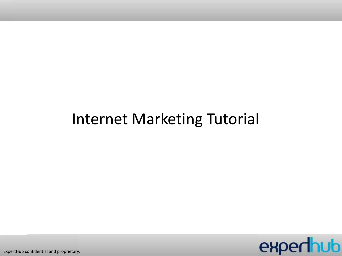## Internet Marketing Tutorial



ExpertHub confidential and proprietary.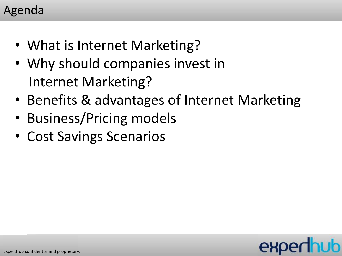#### Agenda

- What is Internet Marketing?
- Why should companies invest in Internet Marketing?
- Benefits & advantages of Internet Marketing
- Business/Pricing models
- Cost Savings Scenarios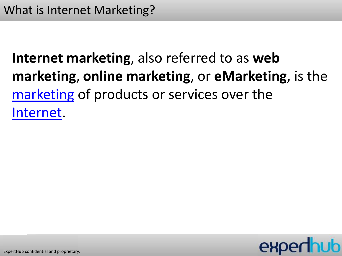## **Internet marketing**, also referred to as **web marketing**, **online marketing**, or **eMarketing**, is the [marketing](http://en.wikipedia.org/wiki/Marketing) of products or services over the [Internet.](http://en.wikipedia.org/wiki/Internet)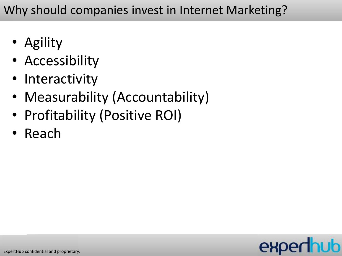Why should companies invest in Internet Marketing?

- Agility
- Accessibility
- Interactivity
- Measurability (Accountability)
- Profitability (Positive ROI)
- Reach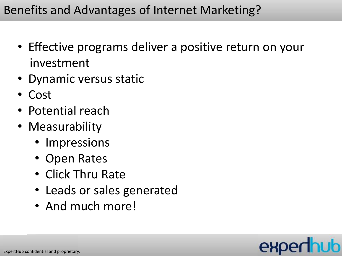- Effective programs deliver a positive return on your investment
- Dynamic versus static
- Cost
- Potential reach
- Measurability
	- Impressions
	- Open Rates
	- Click Thru Rate
	- Leads or sales generated
	- And much more!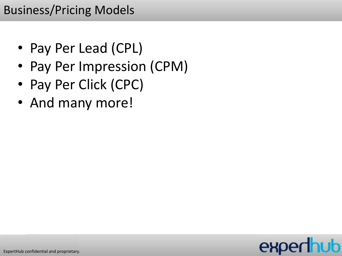### Business/Pricing Models

- Pay Per Lead (CPL)
- Pay Per Impression (CPM)
- Pay Per Click (CPC)
- And many more!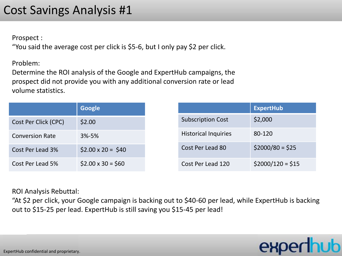### Cost Savings Analysis #1

Prospect :

"You said the average cost per click is \$5-6, but I only pay \$2 per click.

Problem:

Determine the ROI analysis of the Google and ExpertHub campaigns, the prospect did not provide you with any additional conversion rate or lead volume statistics.

|                        | Google                  |                             | <b>ExpertHub</b>  |
|------------------------|-------------------------|-----------------------------|-------------------|
| Cost Per Click (CPC)   | \$2.00                  | <b>Subscription Cost</b>    | \$2,000           |
| <b>Conversion Rate</b> | $3% - 5%$               | <b>Historical Inquiries</b> | 80-120            |
| Cost Per Lead 3%       | $$2.00 \times 20 = $40$ | Cost Per Lead 80            | $$2000/80 = $25$  |
| Cost Per Lead 5%       | $$2.00 \times 30 = $60$ | Cost Per Lead 120           | $$2000/120 = $15$ |

ROI Analysis Rebuttal:

"At \$2 per click, your Google campaign is backing out to \$40-60 per lead, while ExpertHub is backing out to \$15-25 per lead. ExpertHub is still saving you \$15-45 per lead!

expert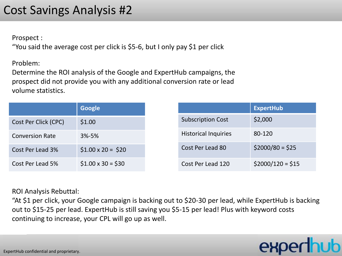#### Cost Savings Analysis #2

Prospect :

"You said the average cost per click is \$5-6, but I only pay \$1 per click

Problem:

Determine the ROI analysis of the Google and ExpertHub campaigns, the prospect did not provide you with any additional conversion rate or lead volume statistics.

|                        | Google                  |
|------------------------|-------------------------|
| Cost Per Click (CPC)   | \$1.00                  |
| <b>Conversion Rate</b> | $3% - 5%$               |
| Cost Per Lead 3%       | $$1.00 \times 20 = $20$ |
| Cost Per Lead 5%       | $$1.00 \times 30 = $30$ |

ROI Analysis Rebuttal:

"At \$1 per click, your Google campaign is backing out to \$20-30 per lead, while ExpertHub is backing out to \$15-25 per lead. ExpertHub is still saving you \$5-15 per lead! Plus with keyword costs continuing to increase, your CPL will go up as well.

# expert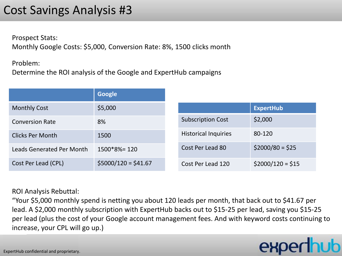#### Cost Savings Analysis #3

Prospect Stats: Monthly Google Costs: \$5,000, Conversion Rate: 8%, 1500 clicks month

Problem:

Determine the ROI analysis of the Google and ExpertHub campaigns

|                           | <b>Google</b>        |                             |                   |
|---------------------------|----------------------|-----------------------------|-------------------|
| <b>Monthly Cost</b>       | \$5,000              |                             | <b>ExpertHub</b>  |
| <b>Conversion Rate</b>    | 8%                   | <b>Subscription Cost</b>    | \$2,000           |
| <b>Clicks Per Month</b>   | 1500                 | <b>Historical Inquiries</b> | 80-120            |
| Leads Generated Per Month | $1500*8% = 120$      | Cost Per Lead 80            | $$2000/80 = $25$  |
| Cost Per Lead (CPL)       | $$5000/120 = $41.67$ | Cost Per Lead 120           | $$2000/120 = $15$ |

#### ROI Analysis Rebuttal:

"Your \$5,000 monthly spend is netting you about 120 leads per month, that back out to \$41.67 per lead. A \$2,000 monthly subscription with ExpertHub backs out to \$15-25 per lead, saving you \$15-25 per lead (plus the cost of your Google account management fees. And with keyword costs continuing to increase, your CPL will go up.)

# expert

ExpertHub confidential and proprietary.